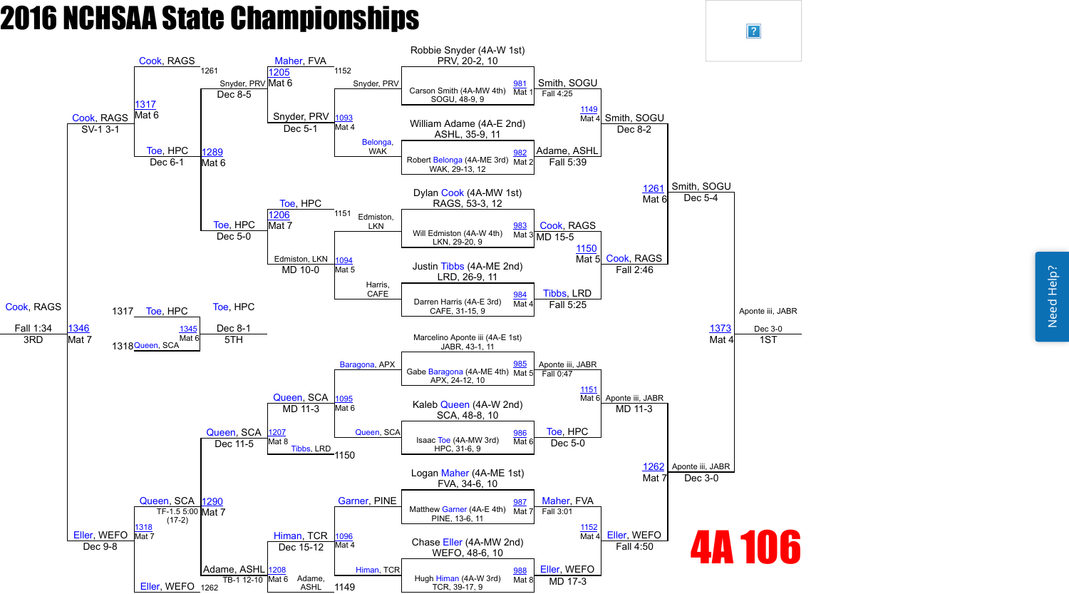Need Help? Need Help?



 $\boxed{?}$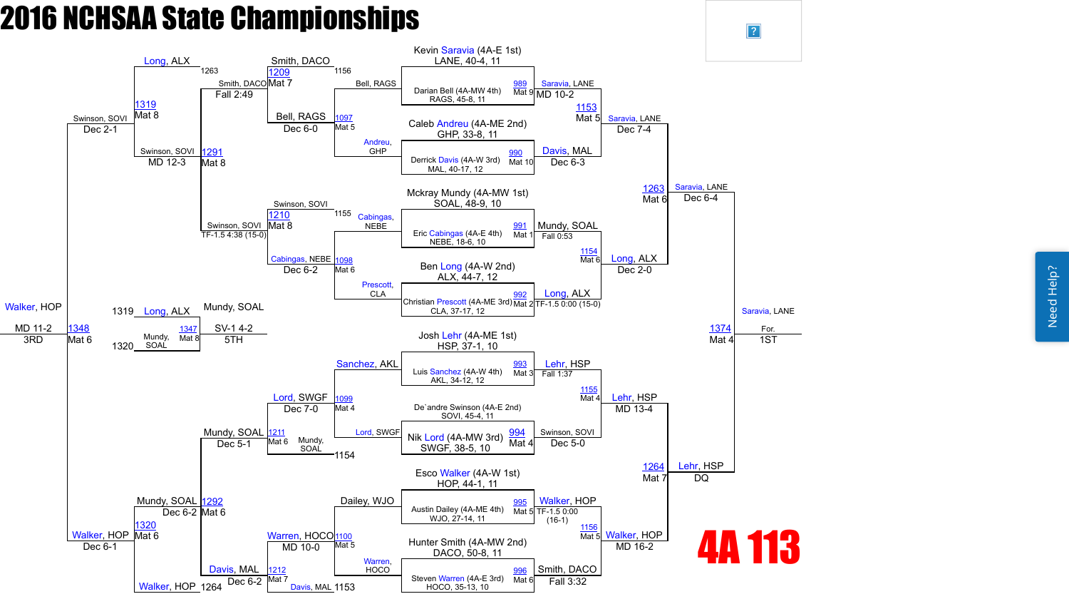

 $\boxed{?}$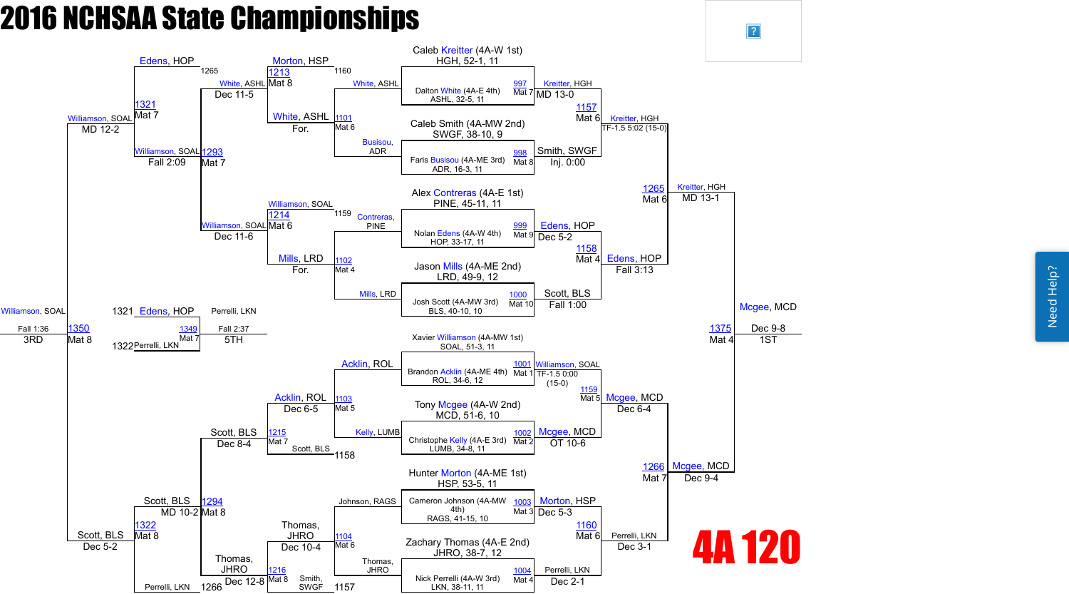

 $\sqrt{?}$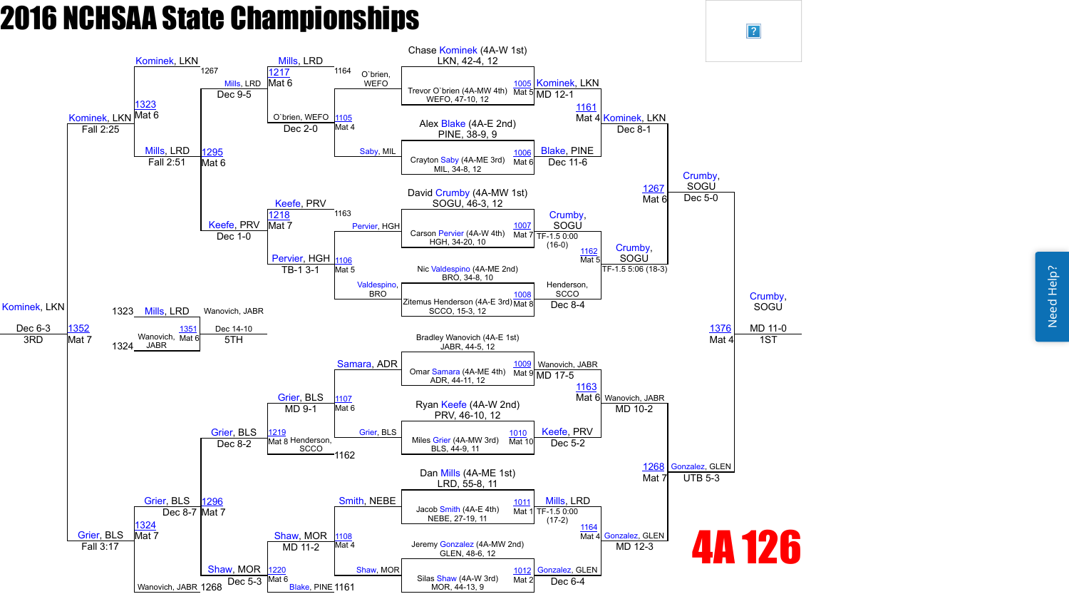

 $\vert$ ?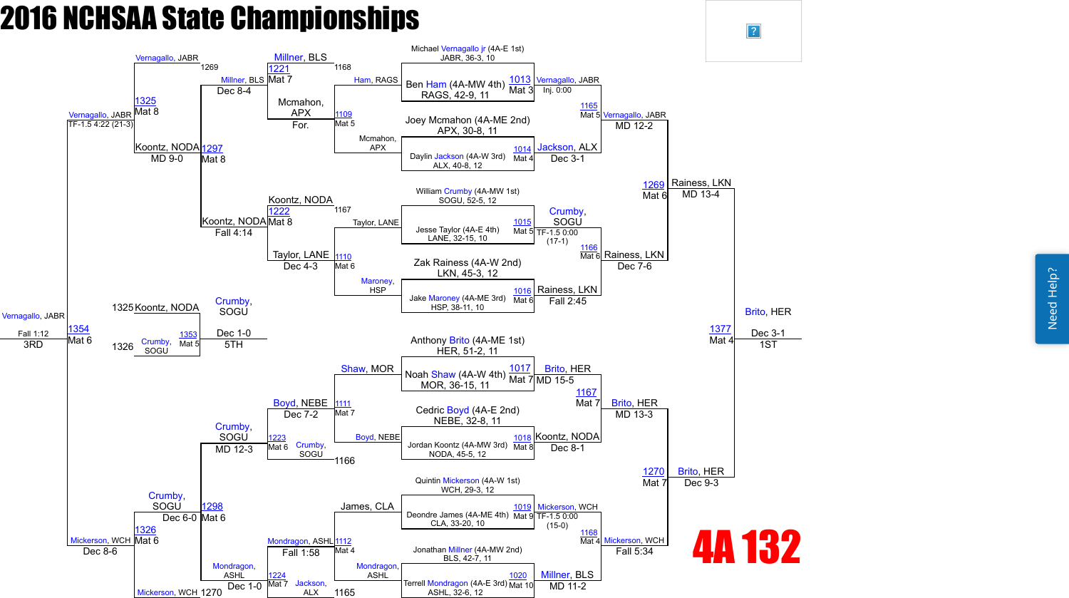

 $\overline{?}$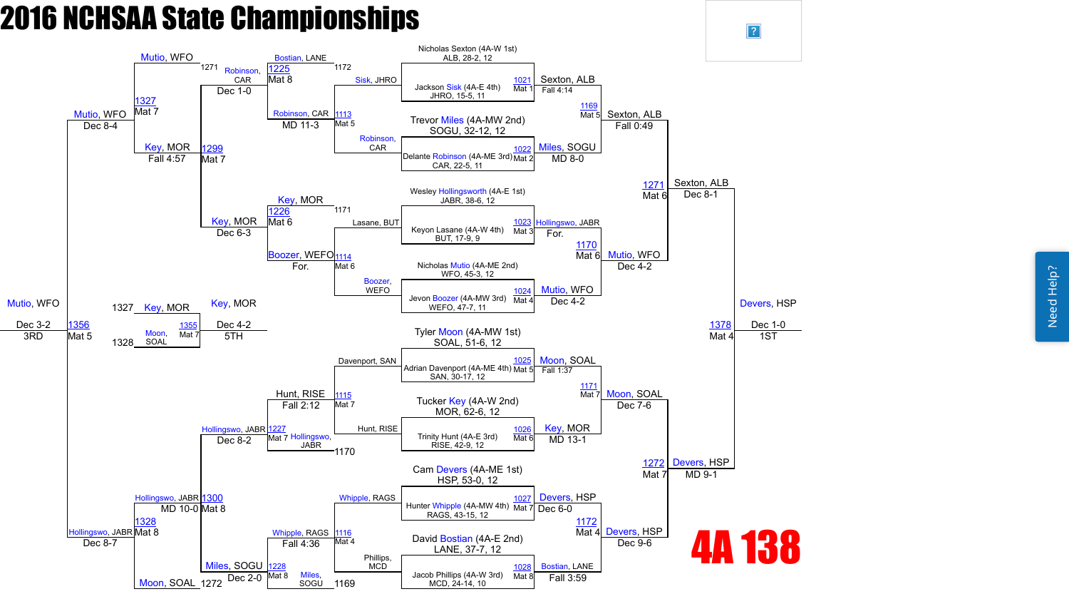Need Help? Need Help?



 $\boxed{?}$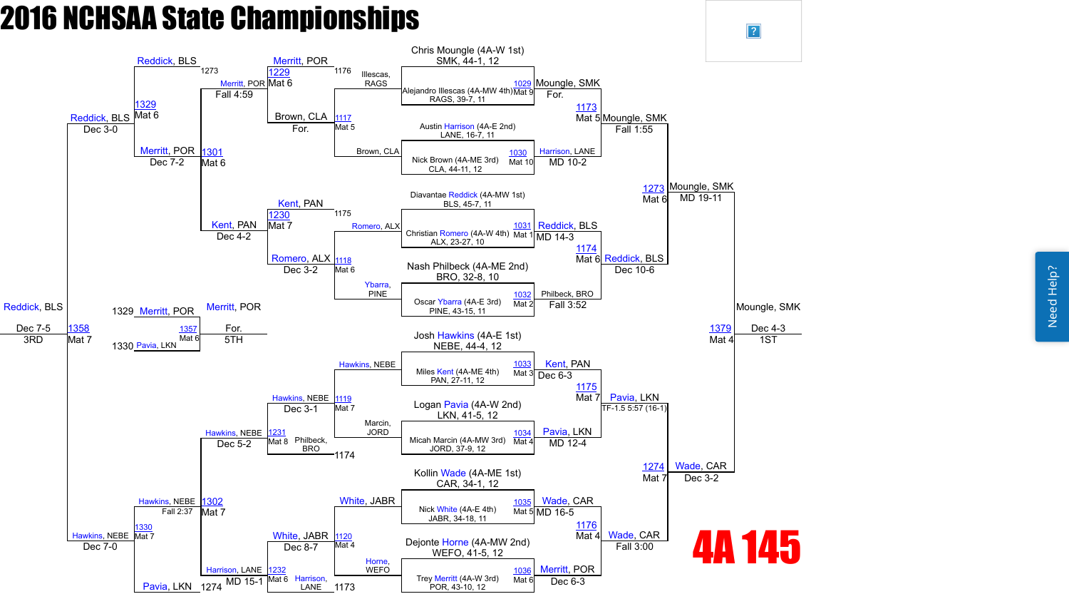

 $\sqrt{?}$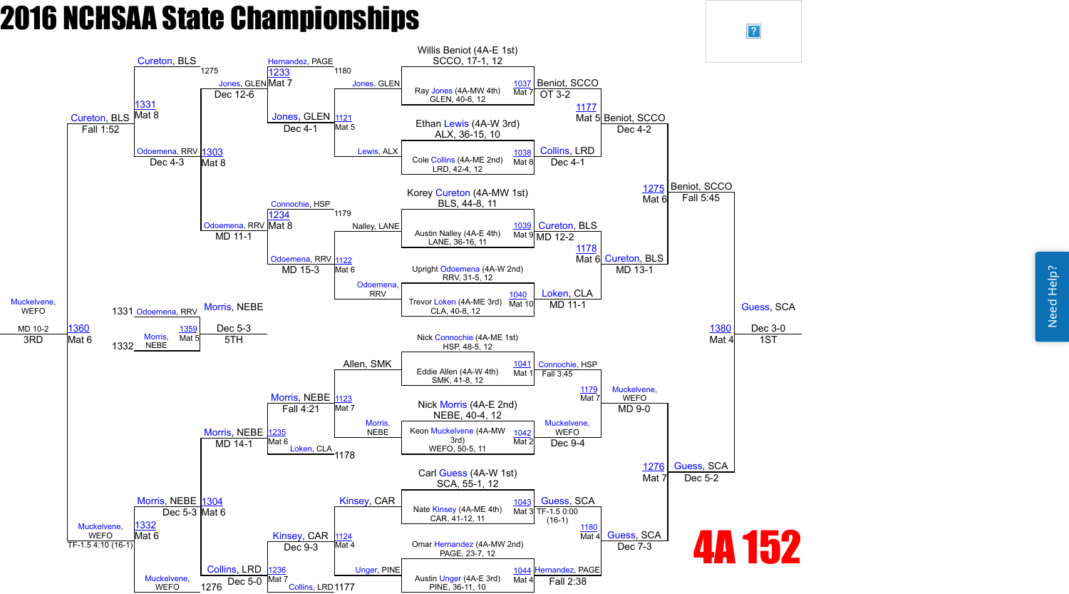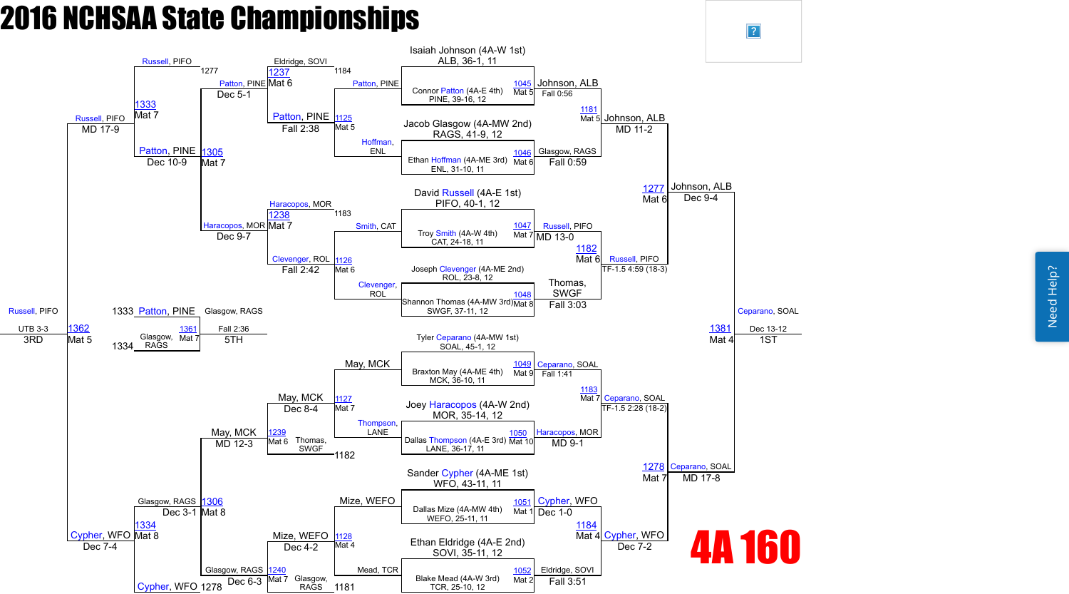Need Help? Need Help?



 $\sqrt{?}$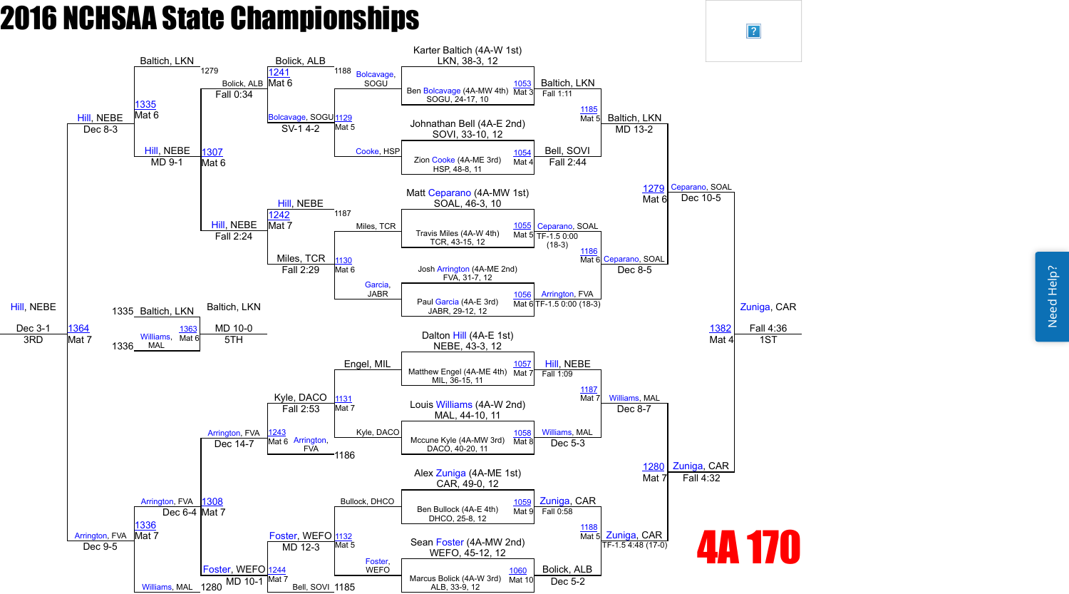

 $\sqrt{?}$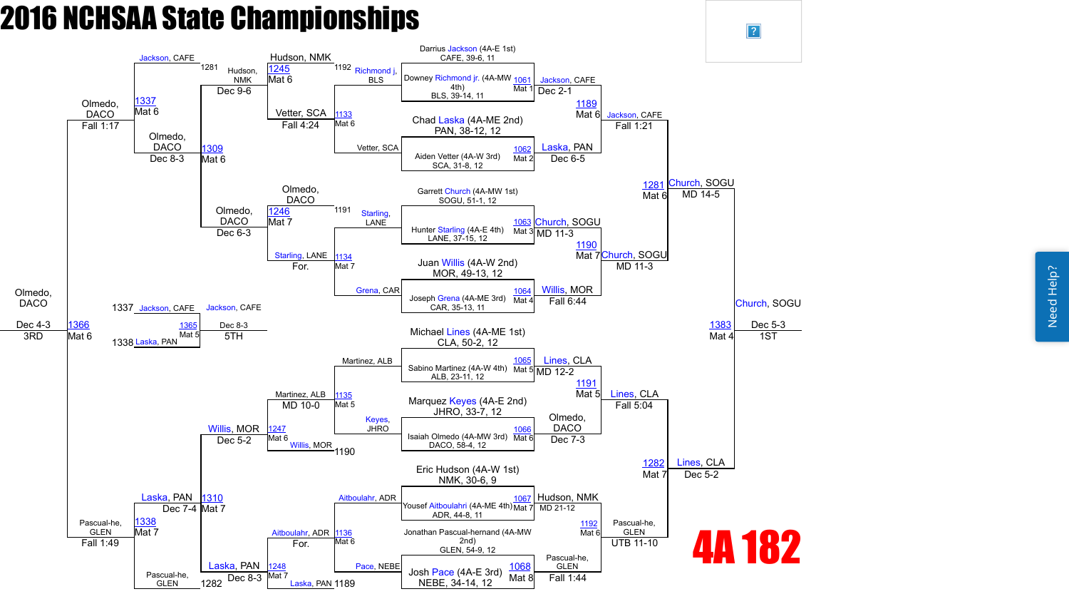

 $\vert$ ?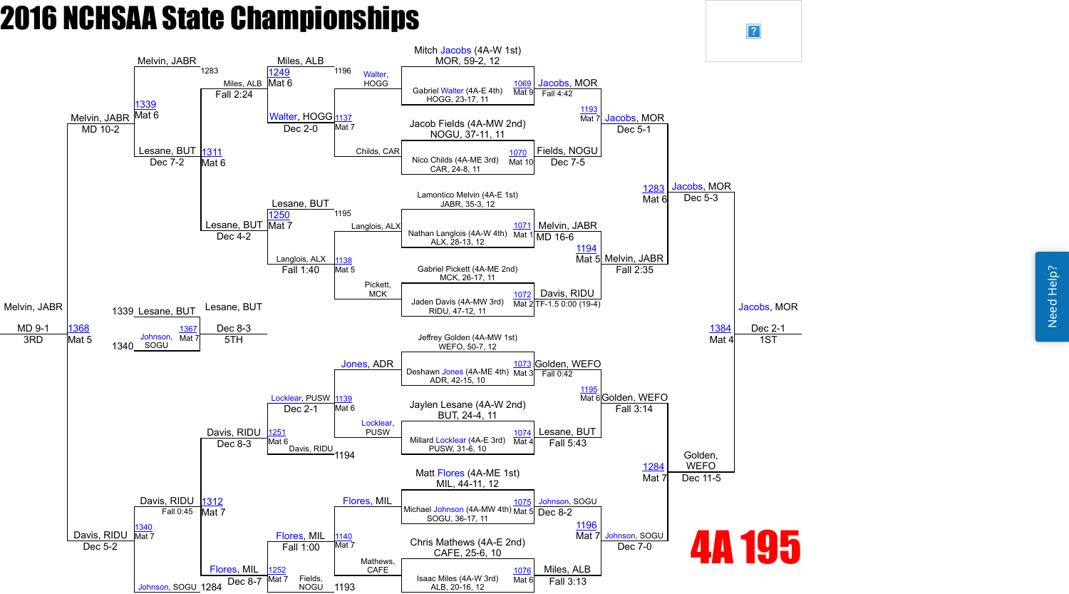Need Help? Need Help?



 $\vert$ ?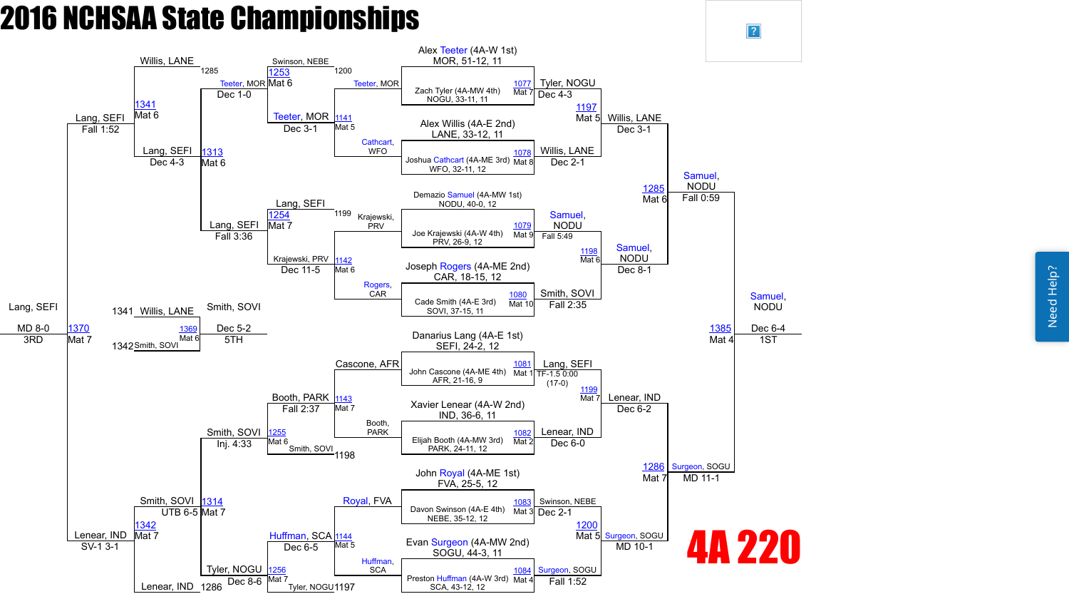

 $\sqrt{?}$